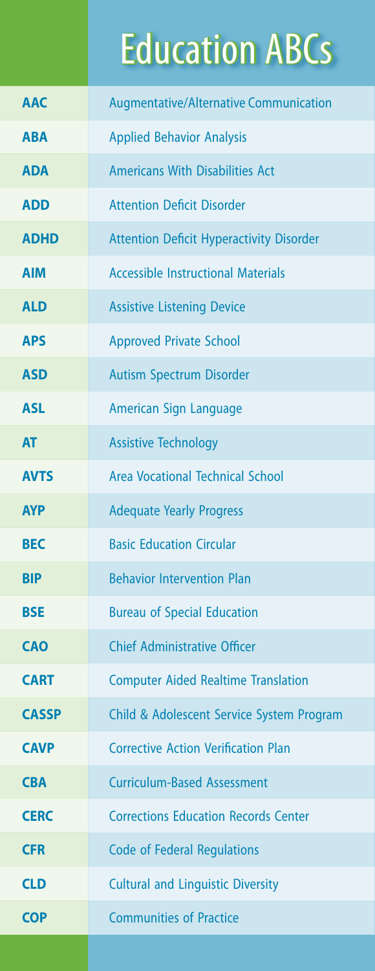## **Education ABCs**

| <b>AAC</b>   | <b>Augmentative/Alternative Communication</b>   |
|--------------|-------------------------------------------------|
| <b>ABA</b>   | <b>Applied Behavior Analysis</b>                |
| <b>ADA</b>   | <b>Americans With Disabilities Act</b>          |
| <b>ADD</b>   | <b>Attention Deficit Disorder</b>               |
| <b>ADHD</b>  | <b>Attention Deficit Hyperactivity Disorder</b> |
| <b>AIM</b>   | <b>Accessible Instructional Materials</b>       |
| <b>ALD</b>   | <b>Assistive Listening Device</b>               |
| <b>APS</b>   | <b>Approved Private School</b>                  |
| <b>ASD</b>   | Autism Spectrum Disorder                        |
| <b>ASL</b>   | American Sign Language                          |
| <b>AT</b>    | <b>Assistive Technology</b>                     |
| <b>AVTS</b>  | Area Vocational Technical School                |
| <b>AYP</b>   | <b>Adequate Yearly Progress</b>                 |
| <b>BEC</b>   | <b>Basic Education Circular</b>                 |
| <b>BIP</b>   | <b>Behavior Intervention Plan</b>               |
| <b>BSE</b>   | <b>Bureau of Special Education</b>              |
| <b>CAO</b>   | <b>Chief Administrative Officer</b>             |
| <b>CART</b>  | <b>Computer Aided Realtime Translation</b>      |
| <b>CASSP</b> | Child & Adolescent Service System Program       |
| <b>CAVP</b>  | <b>Corrective Action Verification Plan</b>      |
| <b>CBA</b>   | <b>Curriculum-Based Assessment</b>              |
| <b>CERC</b>  | <b>Corrections Education Records Center</b>     |
| <b>CFR</b>   | <b>Code of Federal Regulations</b>              |
| <b>CLD</b>   | <b>Cultural and Linguistic Diversity</b>        |
| <b>COP</b>   | <b>Communities of Practice</b>                  |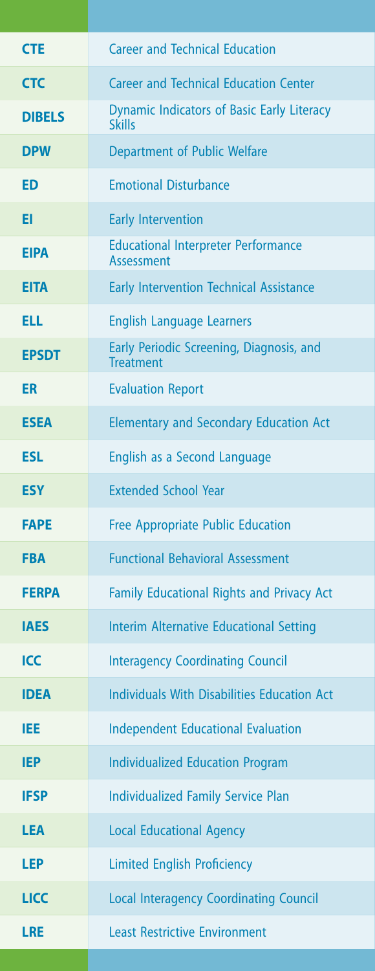| <b>CTE</b>    | <b>Career and Technical Education</b>                              |
|---------------|--------------------------------------------------------------------|
| <b>CTC</b>    | <b>Career and Technical Education Center</b>                       |
| <b>DIBELS</b> | <b>Dynamic Indicators of Basic Early Literacy</b><br><b>Skills</b> |
| <b>DPW</b>    | Department of Public Welfare                                       |
| <b>ED</b>     | <b>Emotional Disturbance</b>                                       |
| EI            | <b>Early Intervention</b>                                          |
| <b>EIPA</b>   | <b>Educational Interpreter Performance</b><br><b>Assessment</b>    |
| <b>EITA</b>   | <b>Early Intervention Technical Assistance</b>                     |
| <b>ELL</b>    | <b>English Language Learners</b>                                   |
| <b>EPSDT</b>  | Early Periodic Screening, Diagnosis, and<br><b>Treatment</b>       |
| ER            | <b>Evaluation Report</b>                                           |
| <b>ESEA</b>   | <b>Elementary and Secondary Education Act</b>                      |
| <b>ESL</b>    | English as a Second Language                                       |
| <b>ESY</b>    | <b>Extended School Year</b>                                        |
| <b>FAPE</b>   | <b>Free Appropriate Public Education</b>                           |
| <b>FBA</b>    | <b>Functional Behavioral Assessment</b>                            |
| <b>FERPA</b>  | <b>Family Educational Rights and Privacy Act</b>                   |
| <b>IAES</b>   | <b>Interim Alternative Educational Setting</b>                     |
| <b>ICC</b>    | <b>Interagency Coordinating Council</b>                            |
| <b>IDEA</b>   | <b>Individuals With Disabilities Education Act</b>                 |
| IEE           | <b>Independent Educational Evaluation</b>                          |
| <b>IEP</b>    | <b>Individualized Education Program</b>                            |
| <b>IFSP</b>   | <b>Individualized Family Service Plan</b>                          |
| <b>LEA</b>    | <b>Local Educational Agency</b>                                    |
| <b>LEP</b>    | <b>Limited English Proficiency</b>                                 |
| <b>LICC</b>   | <b>Local Interagency Coordinating Council</b>                      |
| <b>LRE</b>    | <b>Least Restrictive Environment</b>                               |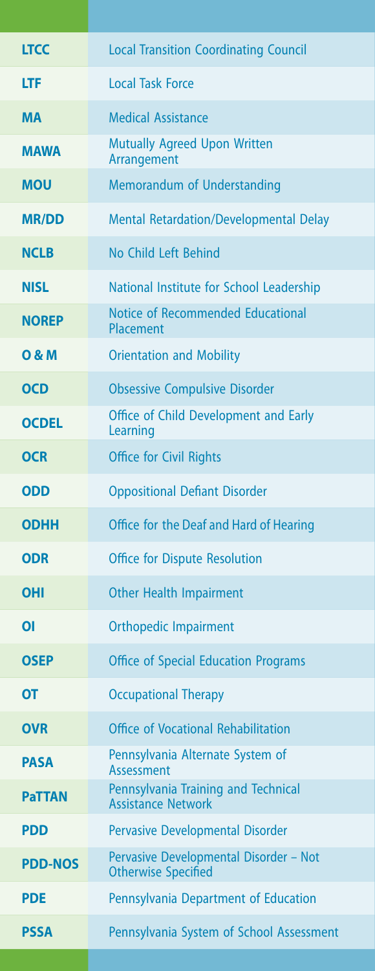| <b>LTCC</b>    | <b>Local Transition Coordinating Council</b>                         |
|----------------|----------------------------------------------------------------------|
| <b>LTF</b>     | <b>Local Task Force</b>                                              |
| <b>MA</b>      | <b>Medical Assistance</b>                                            |
| <b>MAWA</b>    | <b>Mutually Agreed Upon Written</b><br>Arrangement                   |
| <b>MOU</b>     | Memorandum of Understanding                                          |
| <b>MR/DD</b>   | <b>Mental Retardation/Developmental Delay</b>                        |
| <b>NCLB</b>    | No Child Left Behind                                                 |
| <b>NISL</b>    | National Institute for School Leadership                             |
| <b>NOREP</b>   | Notice of Recommended Educational<br>Placement                       |
| 0 & M          | <b>Orientation and Mobility</b>                                      |
| <b>OCD</b>     | <b>Obsessive Compulsive Disorder</b>                                 |
| <b>OCDEL</b>   | Office of Child Development and Early<br>Learning                    |
| <b>OCR</b>     | <b>Office for Civil Rights</b>                                       |
| <b>ODD</b>     | <b>Oppositional Defiant Disorder</b>                                 |
| <b>ODHH</b>    | Office for the Deaf and Hard of Hearing                              |
| <b>ODR</b>     | <b>Office for Dispute Resolution</b>                                 |
| OHI            | <b>Other Health Impairment</b>                                       |
| Οl             | <b>Orthopedic Impairment</b>                                         |
| <b>OSEP</b>    | <b>Office of Special Education Programs</b>                          |
| OT             | <b>Occupational Therapy</b>                                          |
| <b>OVR</b>     | Office of Vocational Rehabilitation                                  |
| <b>PASA</b>    | Pennsylvania Alternate System of<br><b>Assessment</b>                |
| <b>PaTTAN</b>  | Pennsylvania Training and Technical<br><b>Assistance Network</b>     |
| <b>PDD</b>     | <b>Pervasive Developmental Disorder</b>                              |
| <b>PDD-NOS</b> | Pervasive Developmental Disorder - Not<br><b>Otherwise Specified</b> |
| <b>PDE</b>     | Pennsylvania Department of Education                                 |
| <b>PSSA</b>    | Pennsylvania System of School Assessment                             |